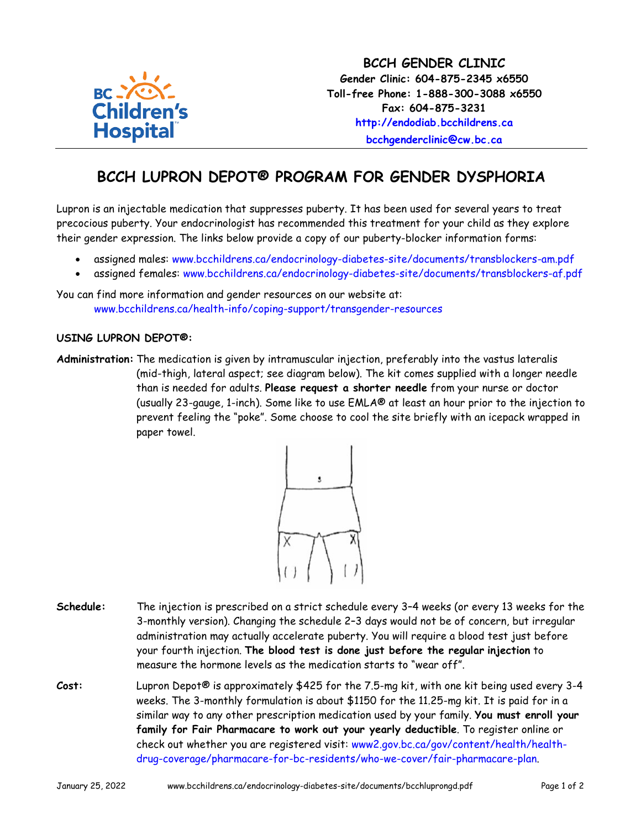

## **BCCH LUPRON DEPOT® PROGRAM FOR GENDER DYSPHORIA**

Lupron is an injectable medication that suppresses puberty. It has been used for several years to treat precocious puberty. Your endocrinologist has recommended this treatment for your child as they explore their gender expression. The links below provide a copy of our puberty-blocker information forms:

- assigned males: [www.bcchildrens.ca/endocrinology-diabetes-site/documents/transblockers-am.pdf](http://www.bcchildrens.ca/endocrinology-diabetes-site/documents/transblockers-am.pdf)
- assigned females: [www.bcchildrens.ca/endocrinology-diabetes-site/documents/transblockers-af.pdf](http://www.bcchildrens.ca/endocrinology-diabetes-site/documents/transblockers-af.pdf)

You can find more information and gender resources on our website at: [www.bcchildrens.ca/health-info/coping-support/transgender-resources](http://www.bcchildrens.ca/health-info/coping-support/transgender-resources)

## **USING LUPRON DEPOT®:**

**Administration:** The medication is given by intramuscular injection, preferably into the vastus lateralis (mid-thigh, lateral aspect; see diagram below). The kit comes supplied with a longer needle than is needed for adults. **Please request a shorter needle** from your nurse or doctor (usually 23-gauge, 1-inch). Some like to use EMLA® at least an hour prior to the injection to prevent feeling the "poke". Some choose to cool the site briefly with an icepack wrapped in paper towel.



- **Schedule:** The injection is prescribed on a strict schedule every 3–4 weeks (or every 13 weeks for the 3-monthly version). Changing the schedule 2–3 days would not be of concern, but irregular administration may actually accelerate puberty. You will require a blood test just before your fourth injection. **The blood test is done just before the regular injection** to measure the hormone levels as the medication starts to "wear off".
- **Cost:** Lupron Depot® is approximately \$425 for the 7.5-mg kit, with one kit being used every 3-4 weeks. The 3-monthly formulation is about \$1150 for the 11.25-mg kit. It is paid for in a similar way to any other prescription medication used by your family. **You must enroll your family for Fair Pharmacare to work out your yearly deductible**. To register online or check out whether you are registered visit: [www2.gov.bc.ca/gov/content/health/health](http://www2.gov.bc.ca/gov/content/health/health-drug-coverage/pharmacare-for-bc-residents/who-we-cover/fair-pharmacare-plan)[drug-coverage/pharmacare-for-bc-residents/who-we-cover/fair-pharmacare-plan.](http://www2.gov.bc.ca/gov/content/health/health-drug-coverage/pharmacare-for-bc-residents/who-we-cover/fair-pharmacare-plan)